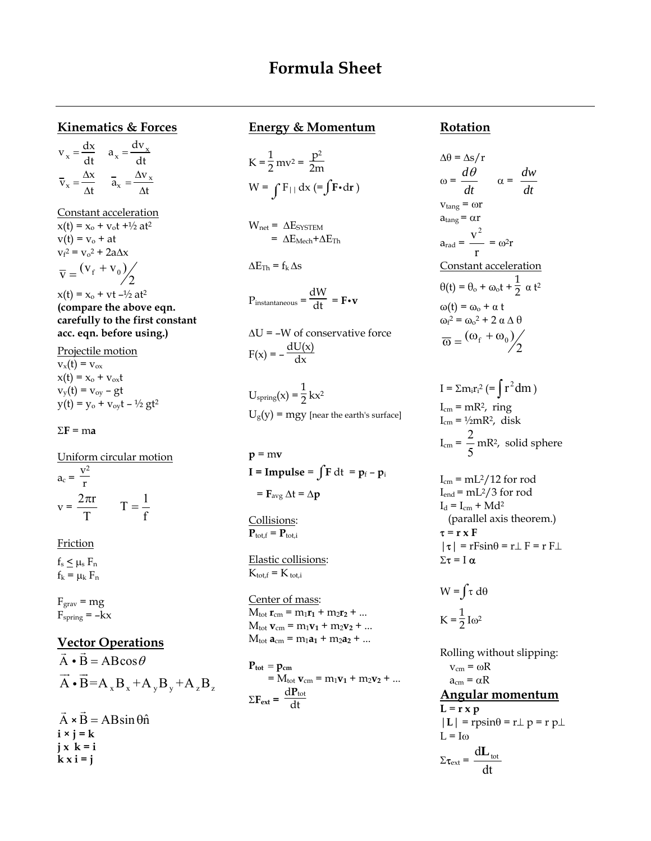# **Formula Sheet**

#### **Kinematics & Forces**

 $v_x = \frac{dx}{dt}$   $a_x = \frac{dv_x}{dt}$  $\overline{v}_x = \frac{\Delta x}{\Delta t}$   $\overline{a}_x = \frac{\Delta v_x}{\Delta t}$ 

Constant acceleration  $x(t) = x_0 + v_0t + \frac{1}{2}at^2$  $v(t) = v_0 + at$  $v_f^2 = v_o^2 + 2a\Delta x$  $\overline{\mathbf{v}} = \frac{(\mathbf{v}_{\rm f} + \mathbf{v}_{\rm 0})}{2}$ 

 $x(t) = x_0 + vt - \frac{1}{2}at^2$ **(compare the above eqn. carefully to the first constant acc. eqn. before using.)**

Projectile motion  $v_x(t) = v_{\text{ox}}$  $x(t) = x_0 + v_{ox}t$  $v_y(t) = v_{oy} - gt$  $y(t) = y_0 + v_{ov}t - \frac{1}{2}gt^2$ 

 $Σ$ **F** = ma

Uniform circular motion  $a_c = \frac{v^2}{r}$  $v = \frac{2\pi r}{T}$   $T = \frac{1}{f}$ 

**Friction** 

 $f_s < \mu_s F_n$  $f_k = \mu_k F_n$ 

 $F<sub>grav</sub> = mg$  $\mathrm{F}_{\mathrm{spring}}=-\mathrm{kx}$ 

### **Vector Operations**

 $\vec{A} \cdot \vec{B} = AB \cos \theta$  $A \cdot B = A_x B_x + A_y B_y + A_z B_z$  $\rightarrow$   $\rightarrow$ i

A  $\vec{A} \times \vec{B} = AB \sin \theta \hat{n}$  $i \times j = k$  $j \times k = i$  $k \times i = j$ 

#### **Energy & Momentum**

$$
K = \frac{1}{2}mv^{2} = \frac{p^{2}}{2m}
$$
  
W =  $\int F_{||} dx$  (=  $\int F \cdot dr$ )

 $W_{\text{net}} = \Delta E_{\text{SYSTEM}}$  $= \Delta E_{\text{Mech}} + \Delta E_{\text{Th}}$ 

 $\Delta E_{\text{Th}} = f_k \Delta s$ 

$$
P_{instantaneous} = \frac{dW}{dt} = \mathbf{F} \cdot \mathbf{v}
$$

∆U = –W of conservative force  $F(x) = -\frac{dU(x)}{dx}$ 

 $U_{\text{spring}}(x) = \frac{1}{2} kx^2$  $U_g(y) = mgy$  [near the earth's surface]

 $p = mv$ **I** = **Impulse** =  $\int \mathbf{F} dt = \mathbf{p}_f - \mathbf{p}_i$  $=$  **F**<sub>avg</sub>  $\Delta t = \Delta p$ 

Collisions:  $P_{\text{tot.f}} = P_{\text{tot.i}}$ 

Elastic collisions:  $K_{\text{tot.f}} = K_{\text{tot.i}}$ 

Center of mass:  $M_{\text{tot}} r_{\text{cm}} = m_1 r_1 + m_2 r_2 + ...$  $M_{\text{tot}}$  **v**<sub>cm</sub> =  $m_1$ **v**<sub>1</sub> +  $m_2$ **v**<sub>2</sub> + ...  $M_{\text{tot}}$  **a**<sub>cm</sub> =  $m_1$ **a**<sub>1</sub> +  $m_2$ **a**<sub>2</sub> + ...

 $P_{tot} = p_{cm}$  $= M_{\text{tot}} \mathbf{v}_{\text{cm}} = m_1 \mathbf{v}_1 + m_2 \mathbf{v}_2 + ...$  $\Sigma F_{ext} = \frac{dP_{tot}}{dt}$ dt

#### **Rotation**

$$
\Delta \theta = \Delta s / r
$$
  
\n
$$
\omega = \frac{d\theta}{dt} \qquad \alpha = \frac{dw}{dt}
$$
  
\n
$$
v_{\text{tang}} = \omega r
$$
  
\n
$$
a_{\text{rad}} = \frac{v^2}{r} = \omega^2 r
$$
  
\n
$$
\text{Constant acceleration}
$$
  
\n
$$
\theta(t) = \theta_o + \omega_o t + \frac{1}{2} \alpha t^2
$$
  
\n
$$
\omega(t) = \omega_o + \alpha t
$$
  
\n
$$
\omega_f^2 = \omega_o^2 + 2 \alpha \Delta \theta
$$
  
\n
$$
\overline{\omega} = (\omega_f + \omega_o) / 2
$$

 $I = \sum m_i r_i^2 (= \int r^2 dm)$  $I_{cm} = mR^2$ , ring  $I_{cm} = \frac{1}{2} mR^2$ , disk  $I_{cm} = \frac{1}{5}$  $\frac{2}{5}$  mR<sup>2</sup>, solid sphere

 $I_{cm} = mL^2/12$  for rod  $I_{end} = mL^2/3$  for rod  $I_d = I_{cm} + Md^2$  (parallel axis theorem.)  $\tau = r \times F$  $|\tau|$  = rFsin $\theta$  = r $\perp$  F = r F $\perp$ Στ = I α

$$
W = \int \tau \, d\theta
$$

$$
K = \frac{1}{2} I \omega^2
$$

Rolling without slipping:  $v_{\rm cm} = \omega R$  $a_{cm} = \alpha R$ **Angular momentum**  $L = r \times p$  $|L|$  = rpsin $\theta$  = r $\perp$  p = r p $\perp$  $L = I\omega$  $\Sigma \tau_{ext} = \frac{d \tau_{ext}}{dt}$  $d\mathbf{L}_{\text{tot}}$